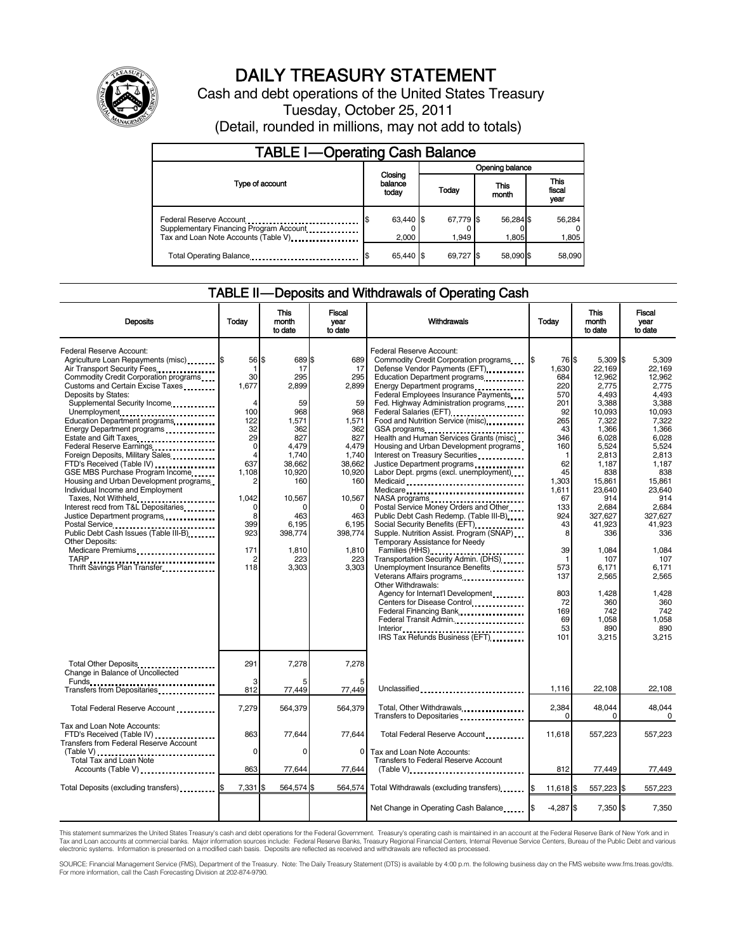

# DAILY TREASURY STATEMENT

Cash and debt operations of the United States Treasury Tuesday, October 25, 2011

(Detail, rounded in millions, may not add to totals)

| <b>TABLE I-Operating Cash Balance</b>                                                                                                                  |                             |                    |                    |                               |  |  |  |
|--------------------------------------------------------------------------------------------------------------------------------------------------------|-----------------------------|--------------------|--------------------|-------------------------------|--|--|--|
|                                                                                                                                                        |                             | Opening balance    |                    |                               |  |  |  |
| Type of account                                                                                                                                        | Closing<br>balance<br>today | Today              | This<br>month      | <b>This</b><br>fiscal<br>year |  |  |  |
| Federal Reserve Account<br>Supplementary Financing Program Account<br>Tax and Loan Note Accounts (Table V) <b>Tax and Loan Note Accounts</b> (Table V) | 63,440 \$<br>2,000          | 67.779 \$<br>1.949 | 56,284 \$<br>1.805 | 56,284<br>1,805               |  |  |  |
| Total Operating Balance                                                                                                                                | 65.440 \$                   | 69.727 \$          | 58.090 \$          | 58,090                        |  |  |  |

### TABLE II — Deposits and Withdrawals of Operating Cash

| <b>Deposits</b>                                                                                                                                                                                                                                                                                                                                                                                                                                                                                                                                                                                                                                                                                                                                                                  | Today                                                                                                                                                                                        | <b>This</b><br>month<br>to date                                                                                                                                                  | <b>Fiscal</b><br>vear<br>to date                                                                                                                                                     | Withdrawals                                                                                                                                                                                                                                                                                                                                                                                                                                                                                                                                                                                                                                                                                                                                                                                                                                                                                                                                                                                                                       | Today                                                                                                                                                                                                           | <b>This</b><br>month<br>to date                                                                                                                                                                                                                                                  | Fiscal<br>vear<br>to date                                                                                                                                                                                                                                                     |  |
|----------------------------------------------------------------------------------------------------------------------------------------------------------------------------------------------------------------------------------------------------------------------------------------------------------------------------------------------------------------------------------------------------------------------------------------------------------------------------------------------------------------------------------------------------------------------------------------------------------------------------------------------------------------------------------------------------------------------------------------------------------------------------------|----------------------------------------------------------------------------------------------------------------------------------------------------------------------------------------------|----------------------------------------------------------------------------------------------------------------------------------------------------------------------------------|--------------------------------------------------------------------------------------------------------------------------------------------------------------------------------------|-----------------------------------------------------------------------------------------------------------------------------------------------------------------------------------------------------------------------------------------------------------------------------------------------------------------------------------------------------------------------------------------------------------------------------------------------------------------------------------------------------------------------------------------------------------------------------------------------------------------------------------------------------------------------------------------------------------------------------------------------------------------------------------------------------------------------------------------------------------------------------------------------------------------------------------------------------------------------------------------------------------------------------------|-----------------------------------------------------------------------------------------------------------------------------------------------------------------------------------------------------------------|----------------------------------------------------------------------------------------------------------------------------------------------------------------------------------------------------------------------------------------------------------------------------------|-------------------------------------------------------------------------------------------------------------------------------------------------------------------------------------------------------------------------------------------------------------------------------|--|
| Federal Reserve Account:<br>Agriculture Loan Repayments (misc) [\$<br>Air Transport Security Fees<br>Commodity Credit Corporation programs<br>Customs and Certain Excise Taxes<br>Deposits by States:<br>Supplemental Security Income<br>Unemployment<br>Education Department programs<br>Energy Department programs<br>Estate and Gift Taxes<br>Federal Reserve Earnings<br>Foreign Deposits, Military Sales<br>FTD's Received (Table IV)<br>GSE MBS Purchase Program Income<br>Housing and Urban Development programs<br>Individual Income and Employment<br>Taxes, Not Withheld<br>Interest recd from T&L Depositaries<br>Justice Department programs<br>Public Debt Cash Issues (Table III-B)<br><b>Other Deposits:</b><br>Medicare Premiums<br>Thrift Savings Plan Transfer | 56 \$<br>1<br>30<br>1,677<br>$\overline{4}$<br>100<br>122<br>32<br>29<br>$\mathbf 0$<br>$\overline{4}$<br>637<br>1.108<br>2<br>1,042<br>0<br>8<br>399<br>923<br>171<br>$\overline{c}$<br>118 | 689 \$<br>17<br>295<br>2,899<br>59<br>968<br>1,571<br>362<br>827<br>4,479<br>1,740<br>38.662<br>10,920<br>160<br>10,567<br>n<br>463<br>6,195<br>398,774<br>1.810<br>223<br>3,303 | 689<br>17<br>295<br>2,899<br>59<br>968<br>1,571<br>362<br>827<br>4,479<br>1,740<br>38,662<br>10,920<br>160<br>10,567<br>$\Omega$<br>463<br>6,195<br>398,774<br>1,810<br>223<br>3,303 | Federal Reserve Account:<br>Commodity Credit Corporation programs<br>Defense Vendor Payments (EFT)<br>Education Department programs<br>Energy Department programs<br>Federal Employees Insurance Payments<br>Fed. Highway Administration programs<br>Federal Salaries (EFT)<br>Federal Salaries (EFT)<br>Food and Nutrition Service (misc)<br>GSA programs<br>Health and Human Services Grants (misc)<br>Housing and Urban Development programs<br>Interest on Treasury Securities<br>Justice Department programs<br>Labor Dept. prgms (excl. unemployment)<br>Medicare<br>Postal Service Money Orders and Other<br>Public Debt Cash Redemp. (Table III-B)<br>Supple. Nutrition Assist. Program (SNAP)<br>Temporary Assistance for Needy<br>Transportation Security Admin. (DHS)<br>Unemployment Insurance Benefits<br>Veterans Affairs programs<br>Other Withdrawals:<br>Agency for Internat'l Development.<br>Centers for Disease Control<br>Federal Financing Bank<br>Federal Transit Admin.<br>IRS Tax Refunds Business (EFT) | 76 \$<br>1,630<br>684<br>220<br>570<br>201<br>92<br>265<br>43<br>346<br>160<br>-1<br>62<br>45<br>1,303<br>1,611<br>67<br>133<br>924<br>43<br>8<br>39<br>-1<br>573<br>137<br>803<br>72<br>169<br>69<br>53<br>101 | 5,309 \$<br>22,169<br>12,962<br>2,775<br>4.493<br>3,388<br>10,093<br>7,322<br>1,366<br>6,028<br>5,524<br>2,813<br>1,187<br>838<br>15,861<br>23,640<br>914<br>2,684<br>327,627<br>41,923<br>336<br>1.084<br>107<br>6,171<br>2,565<br>1,428<br>360<br>742<br>1,058<br>890<br>3,215 | 5,309<br>22,169<br>12.962<br>2,775<br>4.493<br>3,388<br>10.093<br>7.322<br>1.366<br>6,028<br>5,524<br>2.813<br>1.187<br>838<br>15,861<br>23,640<br>914<br>2.684<br>327,627<br>41.923<br>336<br>1.084<br>107<br>6,171<br>2,565<br>1,428<br>360<br>742<br>1.058<br>890<br>3,215 |  |
| Total Other Deposits<br>Change in Balance of Uncollected                                                                                                                                                                                                                                                                                                                                                                                                                                                                                                                                                                                                                                                                                                                         | 291                                                                                                                                                                                          | 7,278                                                                                                                                                                            | 7,278                                                                                                                                                                                |                                                                                                                                                                                                                                                                                                                                                                                                                                                                                                                                                                                                                                                                                                                                                                                                                                                                                                                                                                                                                                   |                                                                                                                                                                                                                 |                                                                                                                                                                                                                                                                                  |                                                                                                                                                                                                                                                                               |  |
| Funds<br>Transfers from Depositaries                                                                                                                                                                                                                                                                                                                                                                                                                                                                                                                                                                                                                                                                                                                                             | 3<br>812                                                                                                                                                                                     | 77,449                                                                                                                                                                           | 77,449                                                                                                                                                                               | Unclassified                                                                                                                                                                                                                                                                                                                                                                                                                                                                                                                                                                                                                                                                                                                                                                                                                                                                                                                                                                                                                      | 1,116                                                                                                                                                                                                           | 22,108                                                                                                                                                                                                                                                                           | 22,108                                                                                                                                                                                                                                                                        |  |
| Total Federal Reserve Account                                                                                                                                                                                                                                                                                                                                                                                                                                                                                                                                                                                                                                                                                                                                                    | 7,279                                                                                                                                                                                        | 564.379                                                                                                                                                                          | 564.379                                                                                                                                                                              | Total, Other Withdrawals<br>Transfers to Depositaries                                                                                                                                                                                                                                                                                                                                                                                                                                                                                                                                                                                                                                                                                                                                                                                                                                                                                                                                                                             | 2,384                                                                                                                                                                                                           | 48,044<br>$\Omega$                                                                                                                                                                                                                                                               | 48,044<br>$\Omega$                                                                                                                                                                                                                                                            |  |
| Tax and Loan Note Accounts:<br>FTD's Received (Table IV)<br><b>Transfers from Federal Reserve Account</b>                                                                                                                                                                                                                                                                                                                                                                                                                                                                                                                                                                                                                                                                        | 863                                                                                                                                                                                          | 77,644                                                                                                                                                                           | 77,644                                                                                                                                                                               | Total Federal Reserve Account                                                                                                                                                                                                                                                                                                                                                                                                                                                                                                                                                                                                                                                                                                                                                                                                                                                                                                                                                                                                     | 11,618                                                                                                                                                                                                          | 557,223                                                                                                                                                                                                                                                                          | 557,223                                                                                                                                                                                                                                                                       |  |
| Total Tax and Loan Note<br>Accounts (Table V)                                                                                                                                                                                                                                                                                                                                                                                                                                                                                                                                                                                                                                                                                                                                    | $\Omega$<br>863                                                                                                                                                                              | $\Omega$<br>77,644                                                                                                                                                               | 0<br>77,644                                                                                                                                                                          | Tax and Loan Note Accounts:<br><b>Transfers to Federal Reserve Account</b><br>$(Table V)$                                                                                                                                                                                                                                                                                                                                                                                                                                                                                                                                                                                                                                                                                                                                                                                                                                                                                                                                         | 812                                                                                                                                                                                                             | 77,449                                                                                                                                                                                                                                                                           | 77,449                                                                                                                                                                                                                                                                        |  |
| Total Deposits (excluding transfers) <b>S</b>                                                                                                                                                                                                                                                                                                                                                                                                                                                                                                                                                                                                                                                                                                                                    | 7,331 \$                                                                                                                                                                                     | 564,574 \$                                                                                                                                                                       |                                                                                                                                                                                      | 564,574 Total Withdrawals (excluding transfers)                                                                                                                                                                                                                                                                                                                                                                                                                                                                                                                                                                                                                                                                                                                                                                                                                                                                                                                                                                                   | 11,618 \$                                                                                                                                                                                                       | 557,223 \$                                                                                                                                                                                                                                                                       | 557,223                                                                                                                                                                                                                                                                       |  |
|                                                                                                                                                                                                                                                                                                                                                                                                                                                                                                                                                                                                                                                                                                                                                                                  |                                                                                                                                                                                              |                                                                                                                                                                                  |                                                                                                                                                                                      | Net Change in Operating Cash Balance                                                                                                                                                                                                                                                                                                                                                                                                                                                                                                                                                                                                                                                                                                                                                                                                                                                                                                                                                                                              | $-4,287$ \$                                                                                                                                                                                                     | 7,350 \$                                                                                                                                                                                                                                                                         | 7,350                                                                                                                                                                                                                                                                         |  |

This statement summarizes the United States Treasury's cash and debt operations for the Federal Government. Treasury's operating cash is maintained in an account at the Federal Reserve Bank of New York and in<br>Tax and Loan

SOURCE: Financial Management Service (FMS), Department of the Treasury. Note: The Daily Treasury Statement (DTS) is available by 4:00 p.m. the following business day on the FMS website www.fms.treas.gov/dts.<br>For more infor